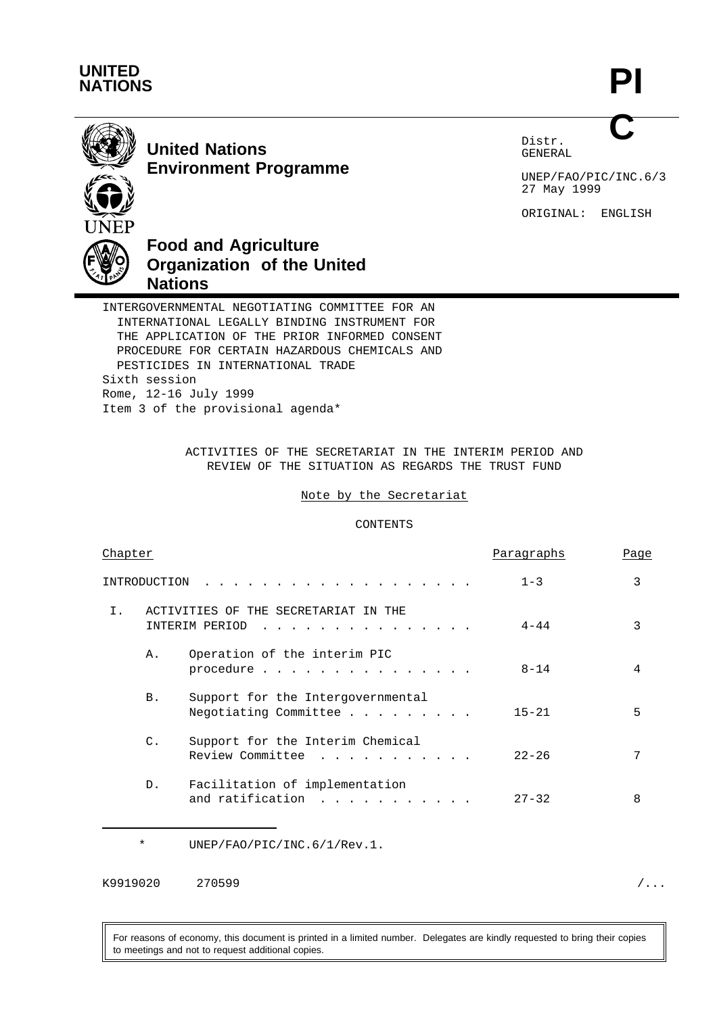

**PI C**



**United Nations Environment Programme** Distr. GENERAL

UNEP/FAO/PIC/INC.6/3 27 May 1999

ORIGINAL: ENGLISH



# **Food and Agriculture Organization of the United Nations**

INTERGOVERNMENTAL NEGOTIATING COMMITTEE FOR AN INTERNATIONAL LEGALLY BINDING INSTRUMENT FOR THE APPLICATION OF THE PRIOR INFORMED CONSENT PROCEDURE FOR CERTAIN HAZARDOUS CHEMICALS AND PESTICIDES IN INTERNATIONAL TRADE Sixth session Rome, 12-16 July 1999 Item 3 of the provisional agenda\*

> ACTIVITIES OF THE SECRETARIAT IN THE INTERIM PERIOD AND REVIEW OF THE SITUATION AS REGARDS THE TRUST FUND

## Note by the Secretariat

# CONTENTS

| Chapter        |                                                             | Paragraphs | Page |
|----------------|-------------------------------------------------------------|------------|------|
| INTRODUCTION   |                                                             | $1 - 3$    | 3    |
| Ι.             | ACTIVITIES OF THE SECRETARIAT IN THE<br>INTERIM PERIOD<br>. | $4 - 44$   | 3    |
| Α.             | Operation of the interim PIC<br>procedure                   | $8 - 14$   | 4    |
| <b>B.</b>      | Support for the Intergovernmental<br>Negotiating Committee  | $15 - 21$  | 5    |
| $\mathsf{C}$ . | Support for the Interim Chemical<br>Review Committee        | $22 - 26$  | 7    |
| $D$ .          | Facilitation of implementation<br>and ratification<br>.     | $27 - 32$  | 8    |

\* UNEP/FAO/PIC/INC.6/1/Rev.1.

K9919020 270599 /...

For reasons of economy, this document is printed in a limited number. Delegates are kindly requested to bring their copies to meetings and not to request additional copies.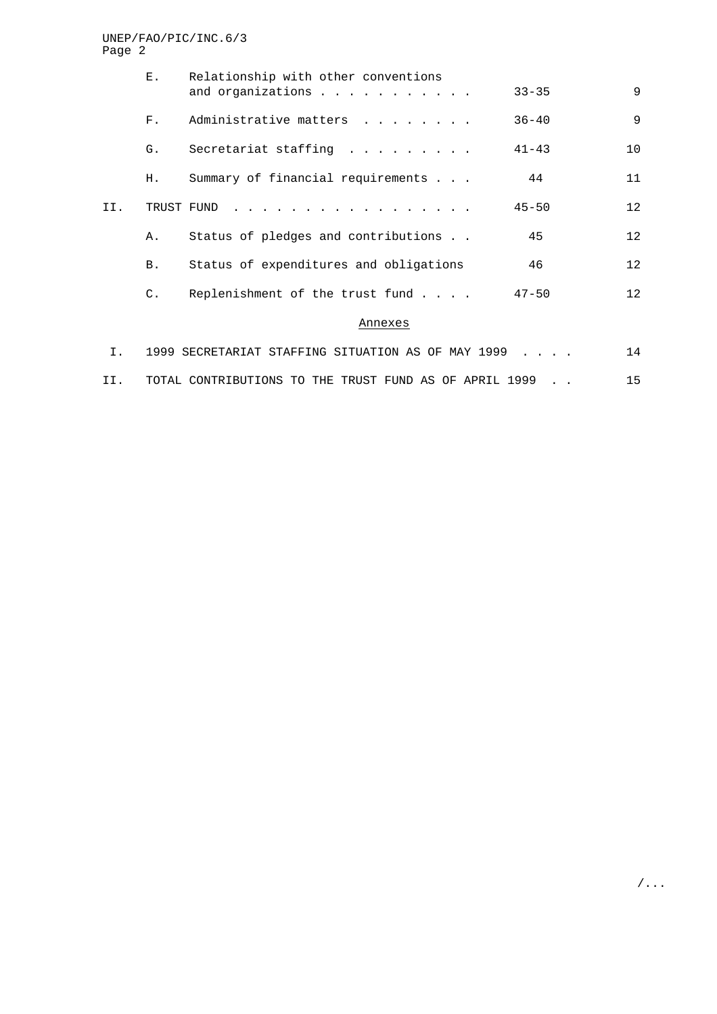|     | Е.             | Relationship with other conventions<br>and organizations | $33 - 35$ | 9                 |
|-----|----------------|----------------------------------------------------------|-----------|-------------------|
|     | $F_{\infty}$   | Administrative matters                                   | $36 - 40$ | $\overline{9}$    |
|     | $G$ .          | Secretariat staffing                                     | $41 - 43$ | 10                |
|     | Н.             | Summary of financial requirements                        | 44        | 11                |
| II. | TRUST FUND     |                                                          | $45 - 50$ | 12                |
|     | Α.             | Status of pledges and contributions                      | 45        | 12                |
|     | B.             | Status of expenditures and obligations                   | 46        | $12 \overline{ }$ |
|     | $\mathsf{C}$ . | Replenishment of the trust fund                          | $47 - 50$ | 12                |
|     |                | Annexes                                                  |           |                   |
|     |                | 1999 SECRETARIAT STAFFING SITHATION AS OF MAY 1999       |           | 14                |

|  | I.   1999 SECRETARIAT STAFFING SITUATION AS OF MAY 1999 |  |  |  |  |  |  |
|--|---------------------------------------------------------|--|--|--|--|--|--|
|  | TOTAL CONTRIBUTIONS TO THE TRUST FUND AS OF APRIL 1999  |  |  |  |  |  |  |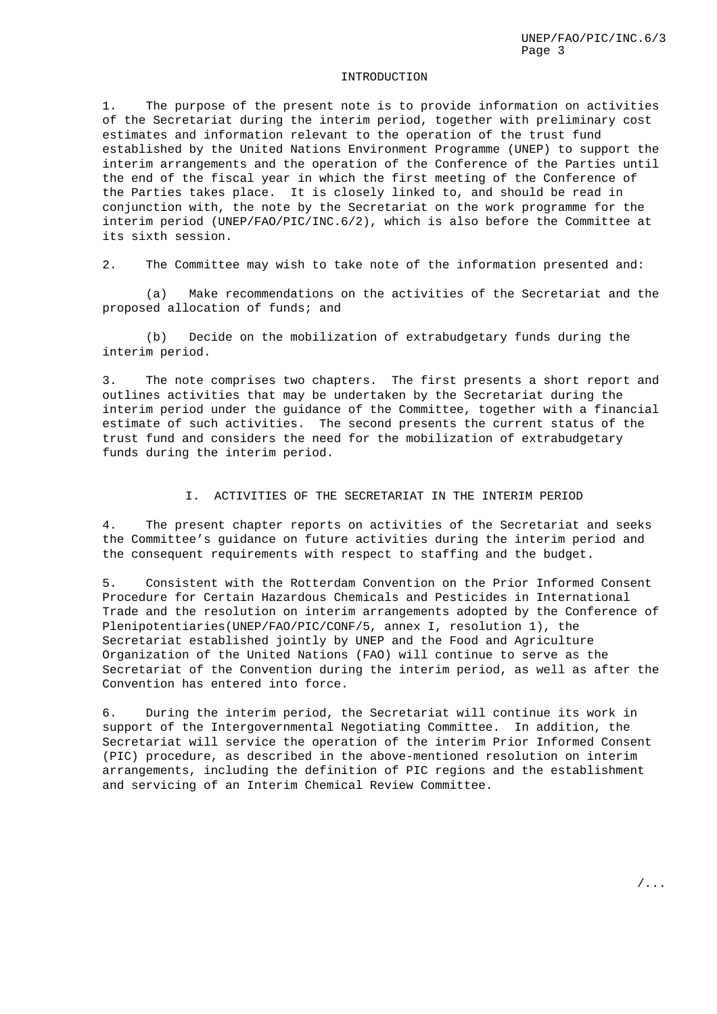#### INTRODUCTION

1. The purpose of the present note is to provide information on activities of the Secretariat during the interim period, together with preliminary cost estimates and information relevant to the operation of the trust fund established by the United Nations Environment Programme (UNEP) to support the interim arrangements and the operation of the Conference of the Parties until the end of the fiscal year in which the first meeting of the Conference of the Parties takes place. It is closely linked to, and should be read in conjunction with, the note by the Secretariat on the work programme for the interim period (UNEP/FAO/PIC/INC.6/2), which is also before the Committee at its sixth session.

2. The Committee may wish to take note of the information presented and:

(a) Make recommendations on the activities of the Secretariat and the proposed allocation of funds; and

(b) Decide on the mobilization of extrabudgetary funds during the interim period.

3. The note comprises two chapters. The first presents a short report and outlines activities that may be undertaken by the Secretariat during the interim period under the guidance of the Committee, together with a financial estimate of such activities. The second presents the current status of the trust fund and considers the need for the mobilization of extrabudgetary funds during the interim period.

#### I. ACTIVITIES OF THE SECRETARIAT IN THE INTERIM PERIOD

4. The present chapter reports on activities of the Secretariat and seeks the Committee's guidance on future activities during the interim period and the consequent requirements with respect to staffing and the budget.

5. Consistent with the Rotterdam Convention on the Prior Informed Consent Procedure for Certain Hazardous Chemicals and Pesticides in International Trade and the resolution on interim arrangements adopted by the Conference of Plenipotentiaries(UNEP/FAO/PIC/CONF/5, annex I, resolution 1), the Secretariat established jointly by UNEP and the Food and Agriculture Organization of the United Nations (FAO) will continue to serve as the Secretariat of the Convention during the interim period, as well as after the Convention has entered into force.

6. During the interim period, the Secretariat will continue its work in support of the Intergovernmental Negotiating Committee. In addition, the Secretariat will service the operation of the interim Prior Informed Consent (PIC) procedure, as described in the above-mentioned resolution on interim arrangements, including the definition of PIC regions and the establishment and servicing of an Interim Chemical Review Committee.

/...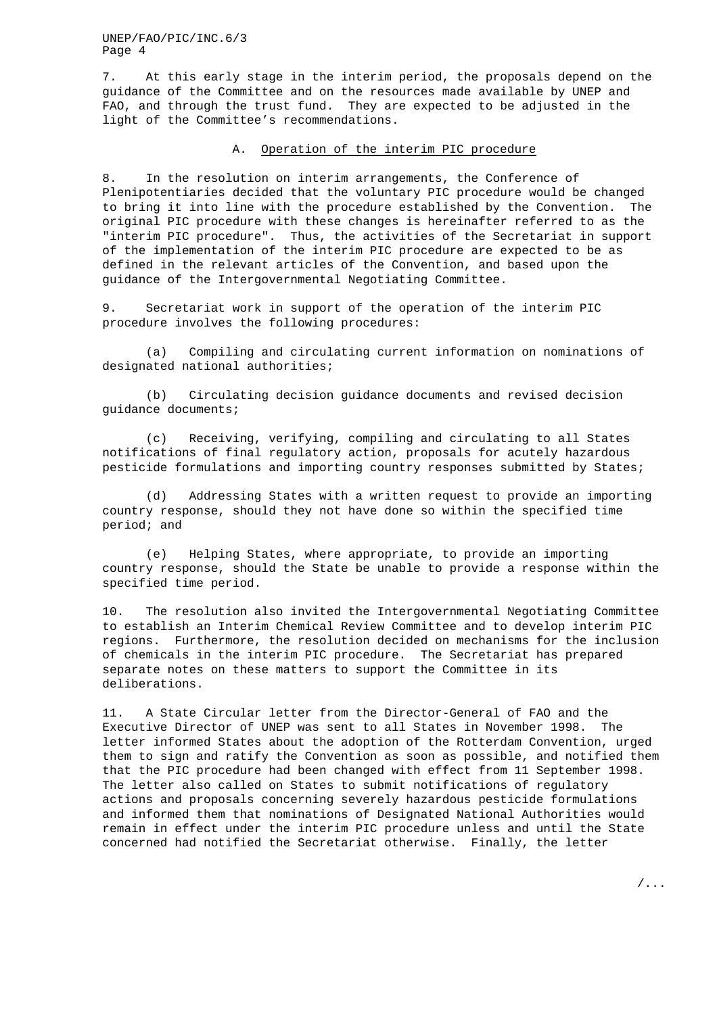7. At this early stage in the interim period, the proposals depend on the guidance of the Committee and on the resources made available by UNEP and FAO, and through the trust fund. They are expected to be adjusted in the light of the Committee's recommendations.

#### A. Operation of the interim PIC procedure

8. In the resolution on interim arrangements, the Conference of Plenipotentiaries decided that the voluntary PIC procedure would be changed to bring it into line with the procedure established by the Convention. The original PIC procedure with these changes is hereinafter referred to as the "interim PIC procedure". Thus, the activities of the Secretariat in support of the implementation of the interim PIC procedure are expected to be as defined in the relevant articles of the Convention, and based upon the guidance of the Intergovernmental Negotiating Committee.

9. Secretariat work in support of the operation of the interim PIC procedure involves the following procedures:

(a) Compiling and circulating current information on nominations of designated national authorities;

(b) Circulating decision guidance documents and revised decision guidance documents;

(c) Receiving, verifying, compiling and circulating to all States notifications of final regulatory action, proposals for acutely hazardous pesticide formulations and importing country responses submitted by States;

(d) Addressing States with a written request to provide an importing country response, should they not have done so within the specified time period; and

(e) Helping States, where appropriate, to provide an importing country response, should the State be unable to provide a response within the specified time period.

10. The resolution also invited the Intergovernmental Negotiating Committee to establish an Interim Chemical Review Committee and to develop interim PIC regions. Furthermore, the resolution decided on mechanisms for the inclusion of chemicals in the interim PIC procedure. The Secretariat has prepared separate notes on these matters to support the Committee in its deliberations.

11. A State Circular letter from the Director-General of FAO and the Executive Director of UNEP was sent to all States in November 1998. The letter informed States about the adoption of the Rotterdam Convention, urged them to sign and ratify the Convention as soon as possible, and notified them that the PIC procedure had been changed with effect from 11 September 1998. The letter also called on States to submit notifications of regulatory actions and proposals concerning severely hazardous pesticide formulations and informed them that nominations of Designated National Authorities would remain in effect under the interim PIC procedure unless and until the State concerned had notified the Secretariat otherwise. Finally, the letter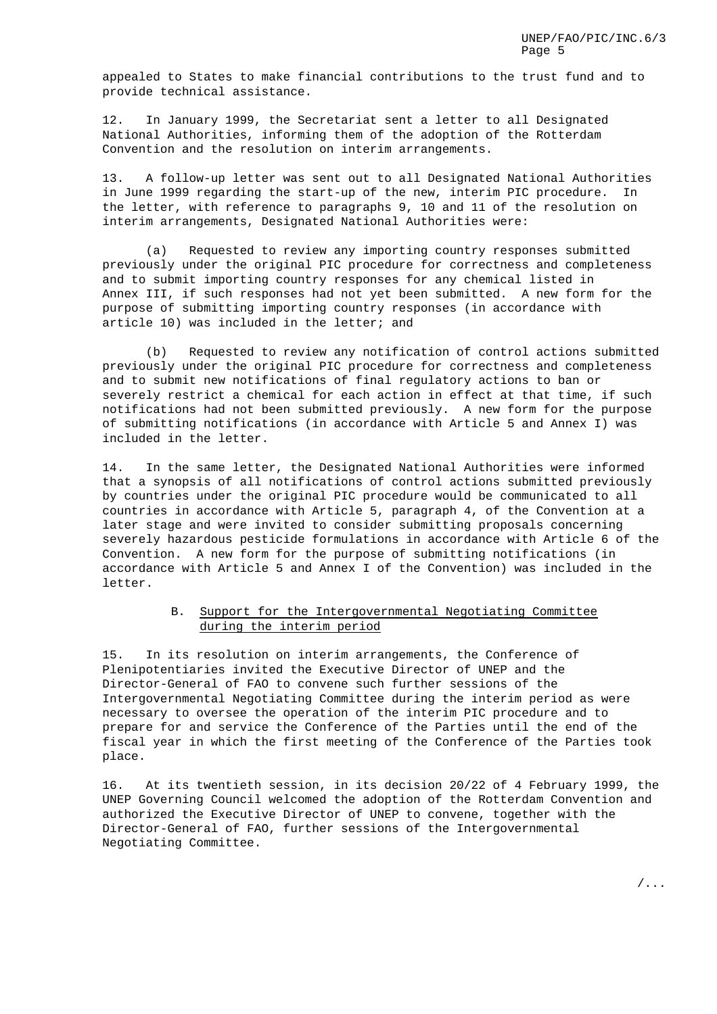appealed to States to make financial contributions to the trust fund and to provide technical assistance.

12. In January 1999, the Secretariat sent a letter to all Designated National Authorities, informing them of the adoption of the Rotterdam Convention and the resolution on interim arrangements.

13. A follow-up letter was sent out to all Designated National Authorities in June 1999 regarding the start-up of the new, interim PIC procedure. In the letter, with reference to paragraphs 9, 10 and 11 of the resolution on interim arrangements, Designated National Authorities were:

(a) Requested to review any importing country responses submitted previously under the original PIC procedure for correctness and completeness and to submit importing country responses for any chemical listed in Annex III, if such responses had not yet been submitted. A new form for the purpose of submitting importing country responses (in accordance with article 10) was included in the letter; and

(b) Requested to review any notification of control actions submitted previously under the original PIC procedure for correctness and completeness and to submit new notifications of final regulatory actions to ban or severely restrict a chemical for each action in effect at that time, if such notifications had not been submitted previously. A new form for the purpose of submitting notifications (in accordance with Article 5 and Annex I) was included in the letter.

14. In the same letter, the Designated National Authorities were informed that a synopsis of all notifications of control actions submitted previously by countries under the original PIC procedure would be communicated to all countries in accordance with Article 5, paragraph 4, of the Convention at a later stage and were invited to consider submitting proposals concerning severely hazardous pesticide formulations in accordance with Article 6 of the Convention. A new form for the purpose of submitting notifications (in accordance with Article 5 and Annex I of the Convention) was included in the letter.

# B. Support for the Intergovernmental Negotiating Committee during the interim period

15. In its resolution on interim arrangements, the Conference of Plenipotentiaries invited the Executive Director of UNEP and the Director-General of FAO to convene such further sessions of the Intergovernmental Negotiating Committee during the interim period as were necessary to oversee the operation of the interim PIC procedure and to prepare for and service the Conference of the Parties until the end of the fiscal year in which the first meeting of the Conference of the Parties took place.

16. At its twentieth session, in its decision 20/22 of 4 February 1999, the UNEP Governing Council welcomed the adoption of the Rotterdam Convention and authorized the Executive Director of UNEP to convene, together with the Director-General of FAO, further sessions of the Intergovernmental Negotiating Committee.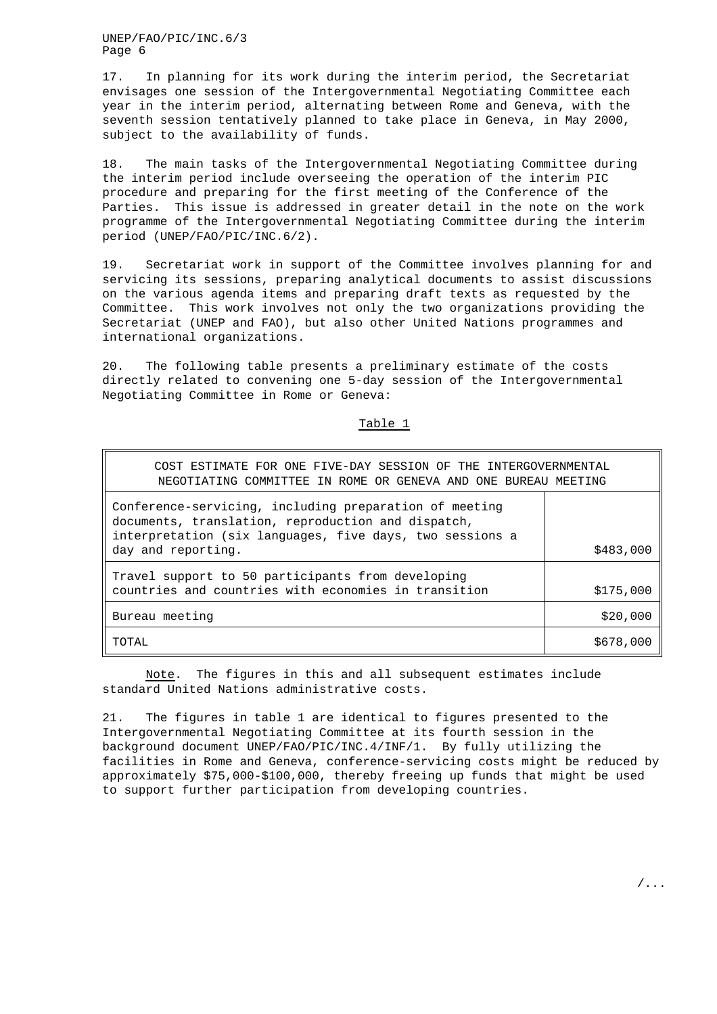17. In planning for its work during the interim period, the Secretariat envisages one session of the Intergovernmental Negotiating Committee each year in the interim period, alternating between Rome and Geneva, with the seventh session tentatively planned to take place in Geneva, in May 2000, subject to the availability of funds.

18. The main tasks of the Intergovernmental Negotiating Committee during the interim period include overseeing the operation of the interim PIC procedure and preparing for the first meeting of the Conference of the Parties. This issue is addressed in greater detail in the note on the work programme of the Intergovernmental Negotiating Committee during the interim period (UNEP/FAO/PIC/INC.6/2).

19. Secretariat work in support of the Committee involves planning for and servicing its sessions, preparing analytical documents to assist discussions on the various agenda items and preparing draft texts as requested by the Committee. This work involves not only the two organizations providing the Secretariat (UNEP and FAO), but also other United Nations programmes and international organizations.

20. The following table presents a preliminary estimate of the costs directly related to convening one 5-day session of the Intergovernmental Negotiating Committee in Rome or Geneva:

Table 1

| COST ESTIMATE FOR ONE FIVE-DAY SESSION OF THE INTERGOVERNMENTAL<br>NEGOTIATING COMMITTEE IN ROME OR GENEVA AND ONE BUREAU MEETING                                                              |           |  |  |  |  |
|------------------------------------------------------------------------------------------------------------------------------------------------------------------------------------------------|-----------|--|--|--|--|
| Conference-servicing, including preparation of meeting<br>documents, translation, reproduction and dispatch,<br>interpretation (six languages, five days, two sessions a<br>day and reporting. | \$483,000 |  |  |  |  |
| Travel support to 50 participants from developing<br>countries and countries with economies in transition                                                                                      | \$175,000 |  |  |  |  |
| Bureau meeting                                                                                                                                                                                 | \$20,000  |  |  |  |  |
| TOTAL                                                                                                                                                                                          | \$678,000 |  |  |  |  |

Note. The figures in this and all subsequent estimates include standard United Nations administrative costs.

21. The figures in table 1 are identical to figures presented to the Intergovernmental Negotiating Committee at its fourth session in the background document UNEP/FAO/PIC/INC.4/INF/1. By fully utilizing the facilities in Rome and Geneva, conference-servicing costs might be reduced by approximately \$75,000-\$100,000, thereby freeing up funds that might be used to support further participation from developing countries.

/...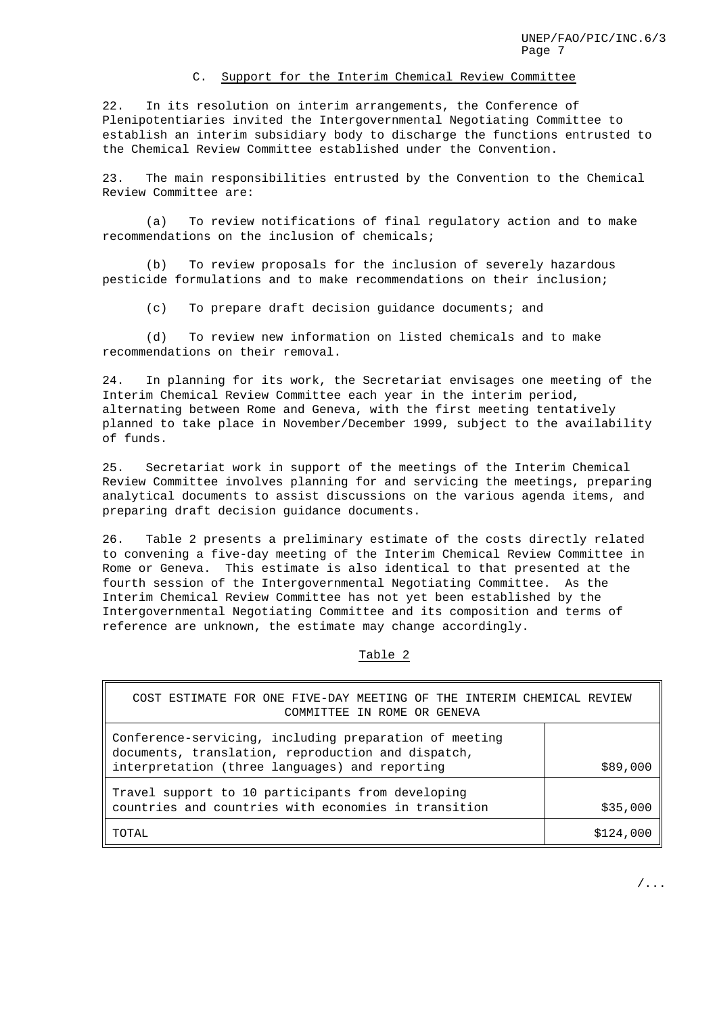#### C. Support for the Interim Chemical Review Committee

22. In its resolution on interim arrangements, the Conference of Plenipotentiaries invited the Intergovernmental Negotiating Committee to establish an interim subsidiary body to discharge the functions entrusted to the Chemical Review Committee established under the Convention.

23. The main responsibilities entrusted by the Convention to the Chemical Review Committee are:

(a) To review notifications of final regulatory action and to make recommendations on the inclusion of chemicals;

(b) To review proposals for the inclusion of severely hazardous pesticide formulations and to make recommendations on their inclusion;

(c) To prepare draft decision guidance documents; and

(d) To review new information on listed chemicals and to make recommendations on their removal.

24. In planning for its work, the Secretariat envisages one meeting of the Interim Chemical Review Committee each year in the interim period, alternating between Rome and Geneva, with the first meeting tentatively planned to take place in November/December 1999, subject to the availability of funds.

25. Secretariat work in support of the meetings of the Interim Chemical Review Committee involves planning for and servicing the meetings, preparing analytical documents to assist discussions on the various agenda items, and preparing draft decision guidance documents.

26. Table 2 presents a preliminary estimate of the costs directly related to convening a five-day meeting of the Interim Chemical Review Committee in Rome or Geneva. This estimate is also identical to that presented at the fourth session of the Intergovernmental Negotiating Committee. As the Interim Chemical Review Committee has not yet been established by the Intergovernmental Negotiating Committee and its composition and terms of reference are unknown, the estimate may change accordingly.

Table 2

| COST ESTIMATE FOR ONE FIVE-DAY MEETING OF THE INTERIM CHEMICAL REVIEW<br>COMMITTEE IN ROME OR GENEVA                                                           |          |
|----------------------------------------------------------------------------------------------------------------------------------------------------------------|----------|
| Conference-servicing, including preparation of meeting<br>documents, translation, reproduction and dispatch,<br>interpretation (three languages) and reporting | \$89,000 |
| Travel support to 10 participants from developing<br>countries and countries with economies in transition                                                      | \$35,000 |
| TOTAL                                                                                                                                                          | \$124    |

/...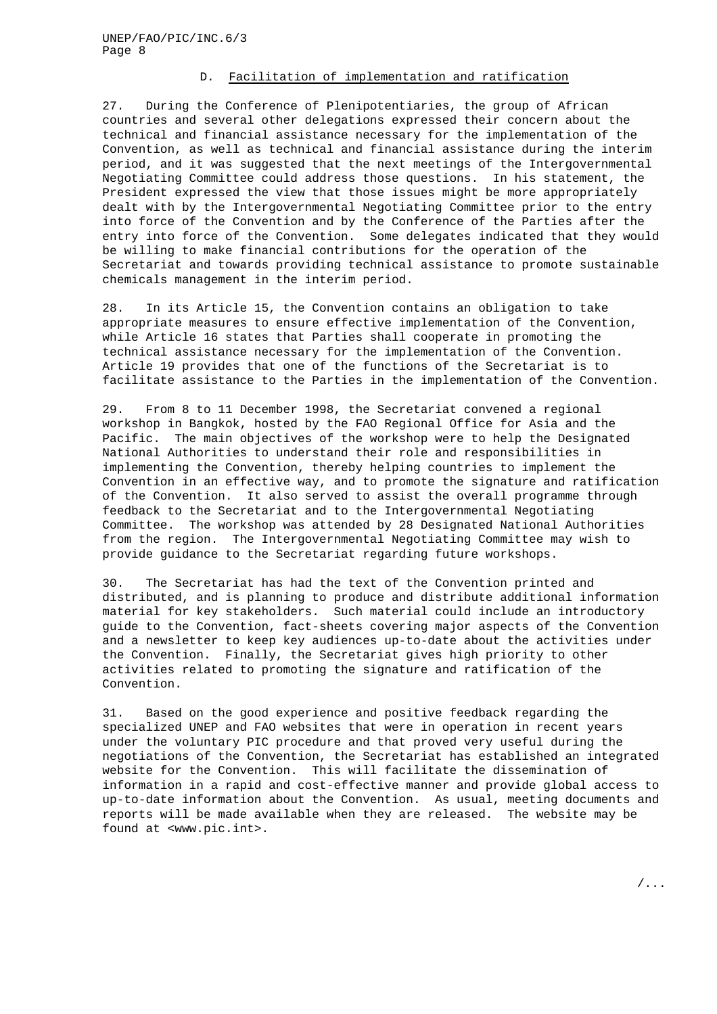## D. Facilitation of implementation and ratification

27. During the Conference of Plenipotentiaries, the group of African countries and several other delegations expressed their concern about the technical and financial assistance necessary for the implementation of the Convention, as well as technical and financial assistance during the interim period, and it was suggested that the next meetings of the Intergovernmental Negotiating Committee could address those questions. In his statement, the President expressed the view that those issues might be more appropriately dealt with by the Intergovernmental Negotiating Committee prior to the entry into force of the Convention and by the Conference of the Parties after the entry into force of the Convention. Some delegates indicated that they would be willing to make financial contributions for the operation of the Secretariat and towards providing technical assistance to promote sustainable chemicals management in the interim period.

28. In its Article 15, the Convention contains an obligation to take appropriate measures to ensure effective implementation of the Convention, while Article 16 states that Parties shall cooperate in promoting the technical assistance necessary for the implementation of the Convention. Article 19 provides that one of the functions of the Secretariat is to facilitate assistance to the Parties in the implementation of the Convention.

29. From 8 to 11 December 1998, the Secretariat convened a regional workshop in Bangkok, hosted by the FAO Regional Office for Asia and the Pacific. The main objectives of the workshop were to help the Designated National Authorities to understand their role and responsibilities in implementing the Convention, thereby helping countries to implement the Convention in an effective way, and to promote the signature and ratification of the Convention. It also served to assist the overall programme through feedback to the Secretariat and to the Intergovernmental Negotiating Committee. The workshop was attended by 28 Designated National Authorities from the region. The Intergovernmental Negotiating Committee may wish to provide guidance to the Secretariat regarding future workshops.

30. The Secretariat has had the text of the Convention printed and distributed, and is planning to produce and distribute additional information material for key stakeholders. Such material could include an introductory guide to the Convention, fact-sheets covering major aspects of the Convention and a newsletter to keep key audiences up-to-date about the activities under the Convention. Finally, the Secretariat gives high priority to other activities related to promoting the signature and ratification of the Convention.

31. Based on the good experience and positive feedback regarding the specialized UNEP and FAO websites that were in operation in recent years under the voluntary PIC procedure and that proved very useful during the negotiations of the Convention, the Secretariat has established an integrated website for the Convention. This will facilitate the dissemination of information in a rapid and cost-effective manner and provide global access to up-to-date information about the Convention. As usual, meeting documents and reports will be made available when they are released. The website may be found at <www.pic.int>.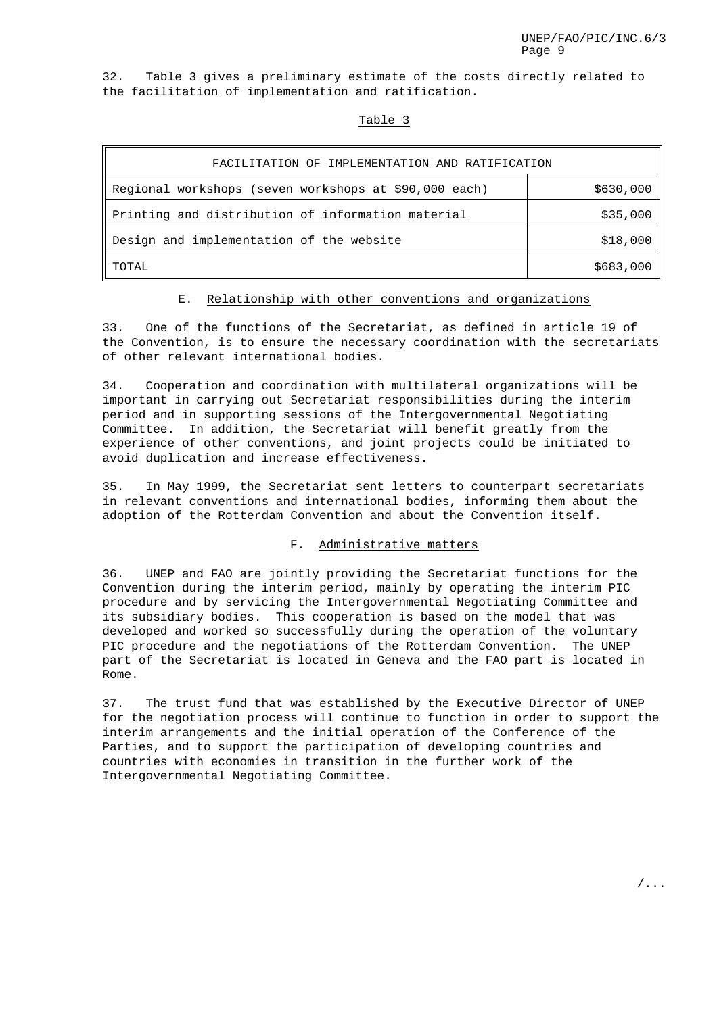32. Table 3 gives a preliminary estimate of the costs directly related to the facilitation of implementation and ratification.

#### Table 3

| FACILITATION OF IMPLEMENTATION AND RATIFICATION       |           |  |  |  |
|-------------------------------------------------------|-----------|--|--|--|
| Regional workshops (seven workshops at \$90,000 each) | \$630,000 |  |  |  |
| Printing and distribution of information material     | \$35,000  |  |  |  |
| Design and implementation of the website              | \$18,000  |  |  |  |
| TOTAL                                                 | \$683,000 |  |  |  |

#### E. Relationship with other conventions and organizations

33. One of the functions of the Secretariat, as defined in article 19 of the Convention, is to ensure the necessary coordination with the secretariats of other relevant international bodies.

34. Cooperation and coordination with multilateral organizations will be important in carrying out Secretariat responsibilities during the interim period and in supporting sessions of the Intergovernmental Negotiating Committee. In addition, the Secretariat will benefit greatly from the experience of other conventions, and joint projects could be initiated to avoid duplication and increase effectiveness.

35. In May 1999, the Secretariat sent letters to counterpart secretariats in relevant conventions and international bodies, informing them about the adoption of the Rotterdam Convention and about the Convention itself.

#### F. Administrative matters

36. UNEP and FAO are jointly providing the Secretariat functions for the Convention during the interim period, mainly by operating the interim PIC procedure and by servicing the Intergovernmental Negotiating Committee and its subsidiary bodies. This cooperation is based on the model that was developed and worked so successfully during the operation of the voluntary PIC procedure and the negotiations of the Rotterdam Convention. The UNEP part of the Secretariat is located in Geneva and the FAO part is located in Rome.

37. The trust fund that was established by the Executive Director of UNEP for the negotiation process will continue to function in order to support the interim arrangements and the initial operation of the Conference of the Parties, and to support the participation of developing countries and countries with economies in transition in the further work of the Intergovernmental Negotiating Committee.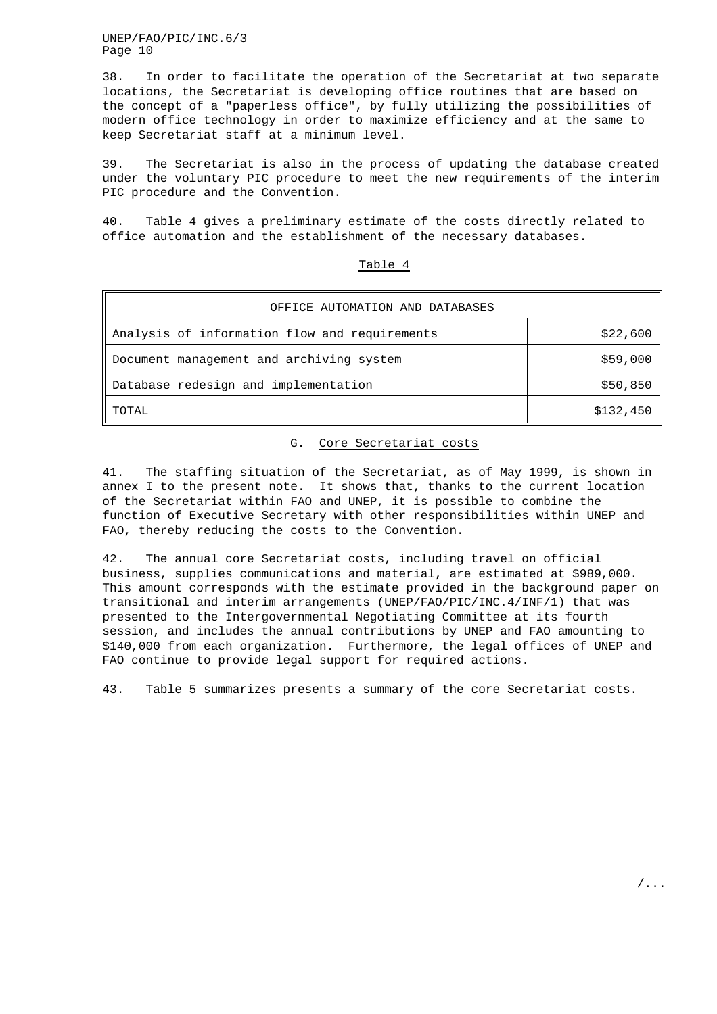38. In order to facilitate the operation of the Secretariat at two separate locations, the Secretariat is developing office routines that are based on the concept of a "paperless office", by fully utilizing the possibilities of modern office technology in order to maximize efficiency and at the same to keep Secretariat staff at a minimum level.

39. The Secretariat is also in the process of updating the database created under the voluntary PIC procedure to meet the new requirements of the interim PIC procedure and the Convention.

40. Table 4 gives a preliminary estimate of the costs directly related to office automation and the establishment of the necessary databases.

| OFFICE AUTOMATION AND DATABASES               |           |  |  |  |
|-----------------------------------------------|-----------|--|--|--|
| Analysis of information flow and requirements | \$22,600  |  |  |  |
| Document management and archiving system      | \$59,000  |  |  |  |
| Database redesign and implementation          | \$50,850  |  |  |  |
| TOTAL                                         | \$132,450 |  |  |  |

## Table 4

## G. Core Secretariat costs

41. The staffing situation of the Secretariat, as of May 1999, is shown in annex I to the present note. It shows that, thanks to the current location of the Secretariat within FAO and UNEP, it is possible to combine the function of Executive Secretary with other responsibilities within UNEP and FAO, thereby reducing the costs to the Convention.

42. The annual core Secretariat costs, including travel on official business, supplies communications and material, are estimated at \$989,000. This amount corresponds with the estimate provided in the background paper on transitional and interim arrangements (UNEP/FAO/PIC/INC.4/INF/1) that was presented to the Intergovernmental Negotiating Committee at its fourth session, and includes the annual contributions by UNEP and FAO amounting to \$140,000 from each organization. Furthermore, the legal offices of UNEP and FAO continue to provide legal support for required actions.

43. Table 5 summarizes presents a summary of the core Secretariat costs.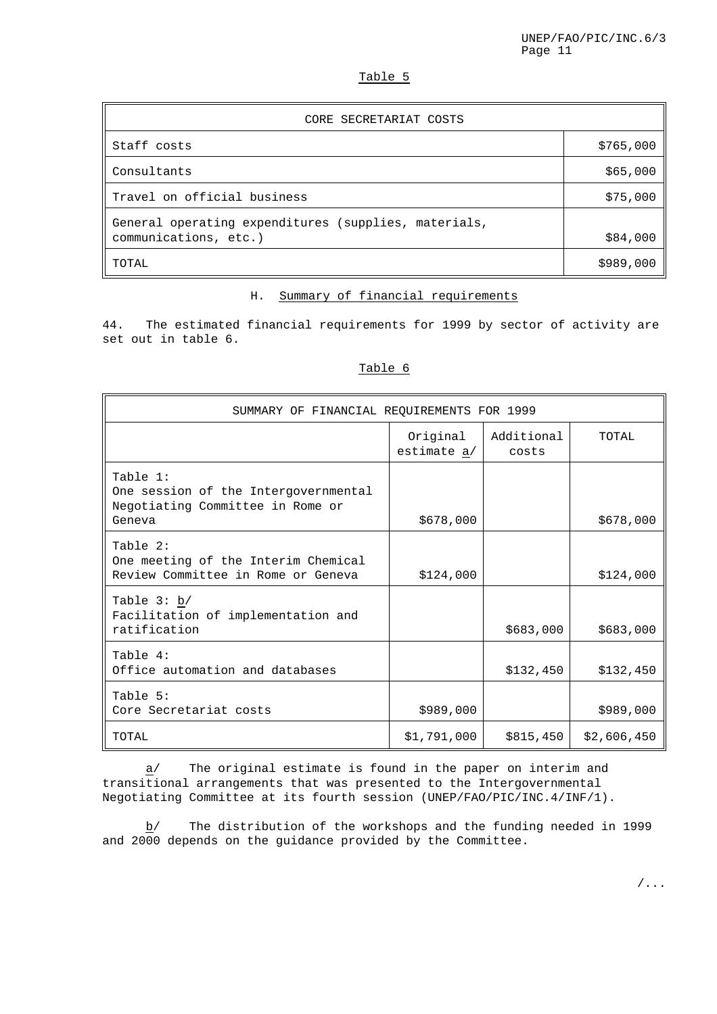# Table 5

| CORE SECRETARIAT COSTS                                                        |           |
|-------------------------------------------------------------------------------|-----------|
| Staff costs                                                                   | \$765,000 |
| Consultants                                                                   | \$65,000  |
| Travel on official business                                                   | \$75,000  |
| General operating expenditures (supplies, materials,<br>communications, etc.) | \$84,000  |
| TOTAL                                                                         | \$989,000 |

# H. Summary of financial requirements

44. The estimated financial requirements for 1999 by sector of activity are set out in table 6.

# Table 6

| SUMMARY OF FINANCIAL REQUIREMENTS FOR 1999                                                     |                         |                     |             |  |  |
|------------------------------------------------------------------------------------------------|-------------------------|---------------------|-------------|--|--|
|                                                                                                | Original<br>estimate a/ | Additional<br>costs | TOTAL       |  |  |
| Table 1:<br>One session of the Intergovernmental<br>Negotiating Committee in Rome or<br>Geneva | \$678,000               |                     | \$678,000   |  |  |
| Table 2:<br>One meeting of the Interim Chemical<br>Review Committee in Rome or Geneva          | \$124,000               |                     | \$124,000   |  |  |
| Table $3: b/$<br>Facilitation of implementation and<br>ratification                            |                         | \$683,000           | \$683,000   |  |  |
| Table 4:<br>Office automation and databases                                                    |                         | \$132,450           | \$132,450   |  |  |
| Table 5:<br>Core Secretariat costs                                                             | \$989,000               |                     | \$989,000   |  |  |
| TOTAL                                                                                          | \$1,791,000             | \$815,450           | \$2,606,450 |  |  |

 $\underline{a}$  The original estimate is found in the paper on interim and transitional arrangements that was presented to the Intergovernmental Negotiating Committee at its fourth session (UNEP/FAO/PIC/INC.4/INF/1).

b/ The distribution of the workshops and the funding needed in 1999 and 2000 depends on the guidance provided by the Committee.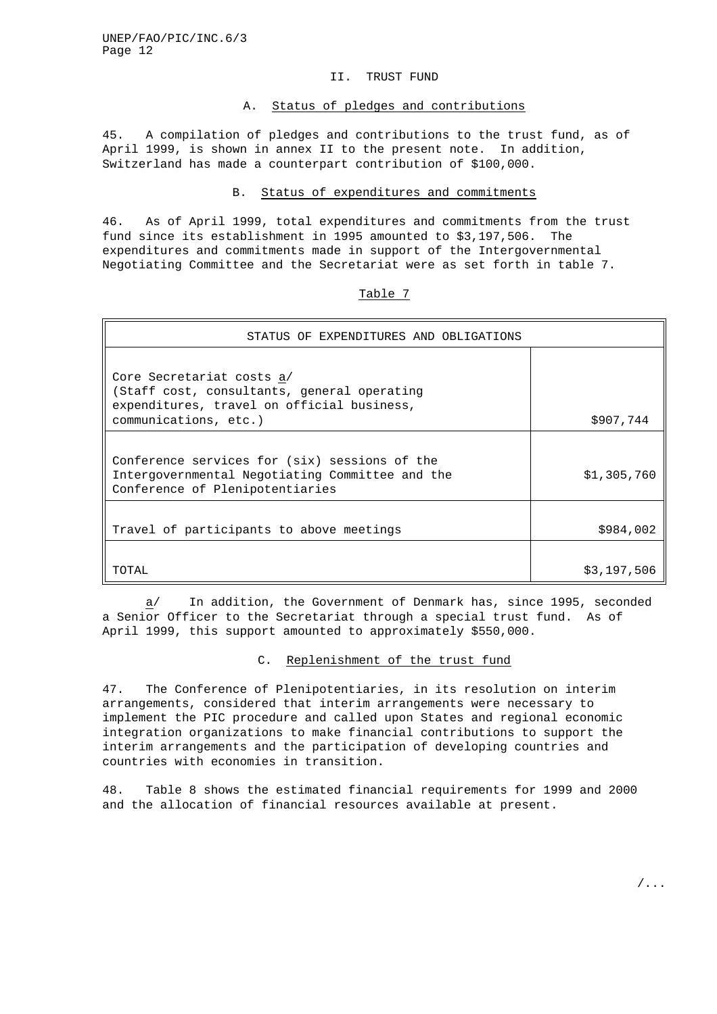#### II. TRUST FUND

# A. Status of pledges and contributions

45. A compilation of pledges and contributions to the trust fund, as of April 1999, is shown in annex II to the present note. In addition, Switzerland has made a counterpart contribution of \$100,000.

#### B. Status of expenditures and commitments

46. As of April 1999, total expenditures and commitments from the trust fund since its establishment in 1995 amounted to \$3,197,506. The expenditures and commitments made in support of the Intergovernmental Negotiating Committee and the Secretariat were as set forth in table 7.

| STATUS OF EXPENDITURES AND OBLIGATIONS                                                                                                          |             |
|-------------------------------------------------------------------------------------------------------------------------------------------------|-------------|
| Core Secretariat costs a/<br>(Staff cost, consultants, general operating<br>expenditures, travel on official business,<br>communications, etc.) | \$907,744   |
| Conference services for (six) sessions of the<br>Intergovernmental Negotiating Committee and the<br>Conference of Plenipotentiaries             | \$1,305,760 |
| Travel of participants to above meetings                                                                                                        | \$984,002   |
| TOTAL                                                                                                                                           | \$3,197,506 |

Table 7

 $\underline{a}$  In addition, the Government of Denmark has, since 1995, seconded a Senior Officer to the Secretariat through a special trust fund. As of April 1999, this support amounted to approximately \$550,000.

#### C. Replenishment of the trust fund

47. The Conference of Plenipotentiaries, in its resolution on interim arrangements, considered that interim arrangements were necessary to implement the PIC procedure and called upon States and regional economic integration organizations to make financial contributions to support the interim arrangements and the participation of developing countries and countries with economies in transition.

48. Table 8 shows the estimated financial requirements for 1999 and 2000 and the allocation of financial resources available at present.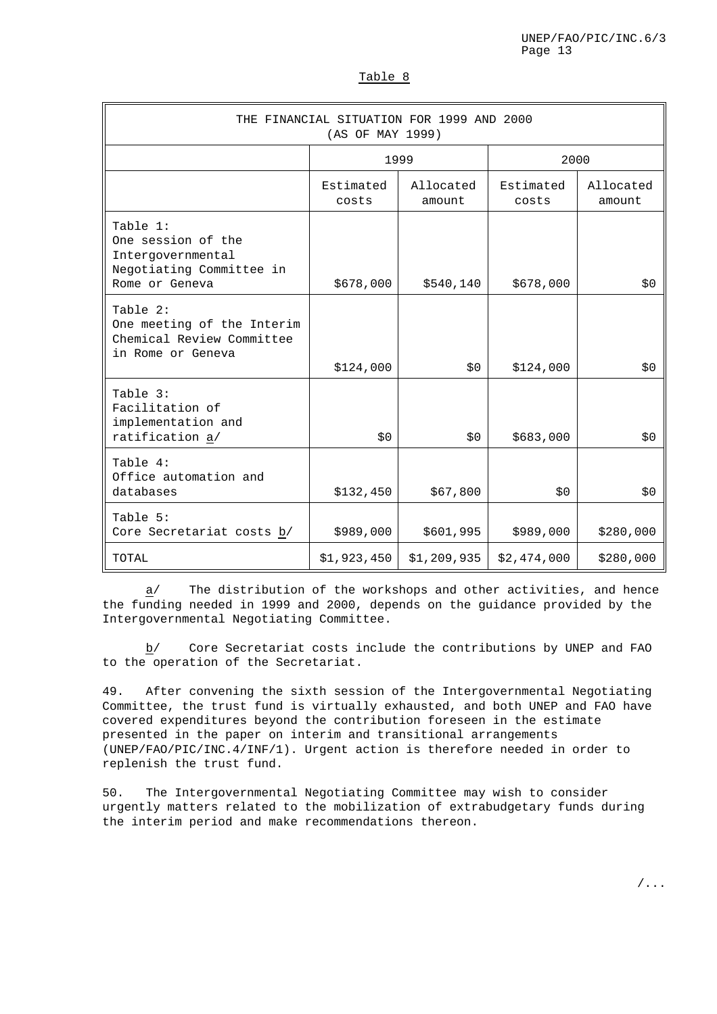| THE FINANCIAL SITUATION FOR 1999 AND 2000<br>(AS OF MAY 1999)                                     |                    |                     |                    |                     |  |  |
|---------------------------------------------------------------------------------------------------|--------------------|---------------------|--------------------|---------------------|--|--|
|                                                                                                   | 1999               |                     | 2000               |                     |  |  |
|                                                                                                   | Estimated<br>costs | Allocated<br>amount | Estimated<br>costs | Allocated<br>amount |  |  |
| Table 1:<br>One session of the<br>Intergovernmental<br>Negotiating Committee in<br>Rome or Geneva | \$678,000          | \$540,140           | \$678,000          | \$0                 |  |  |
| Table 2:<br>One meeting of the Interim<br>Chemical Review Committee<br>in Rome or Geneva          | \$124,000          | \$0                 | \$124,000          | \$0                 |  |  |
| Table 3:<br>Facilitation of<br>implementation and<br>ratification a/                              | \$0                | \$0\$               | \$683,000          | \$0                 |  |  |
| Table 4:<br>Office automation and<br>databases                                                    | \$132,450          | \$67,800            | \$0                | \$0                 |  |  |
| Table 5:<br>Core Secretariat costs b/                                                             | \$989,000          | \$601,995           | \$989,000          | \$280,000           |  |  |
| TOTAL                                                                                             | \$1,923,450        | \$1,209,935         | \$2,474,000        | \$280,000           |  |  |

a/ The distribution of the workshops and other activities, and hence the funding needed in 1999 and 2000, depends on the guidance provided by the Intergovernmental Negotiating Committee.

b/ Core Secretariat costs include the contributions by UNEP and FAO to the operation of the Secretariat.

49. After convening the sixth session of the Intergovernmental Negotiating Committee, the trust fund is virtually exhausted, and both UNEP and FAO have covered expenditures beyond the contribution foreseen in the estimate presented in the paper on interim and transitional arrangements (UNEP/FAO/PIC/INC.4/INF/1). Urgent action is therefore needed in order to replenish the trust fund.

50. The Intergovernmental Negotiating Committee may wish to consider urgently matters related to the mobilization of extrabudgetary funds during the interim period and make recommendations thereon.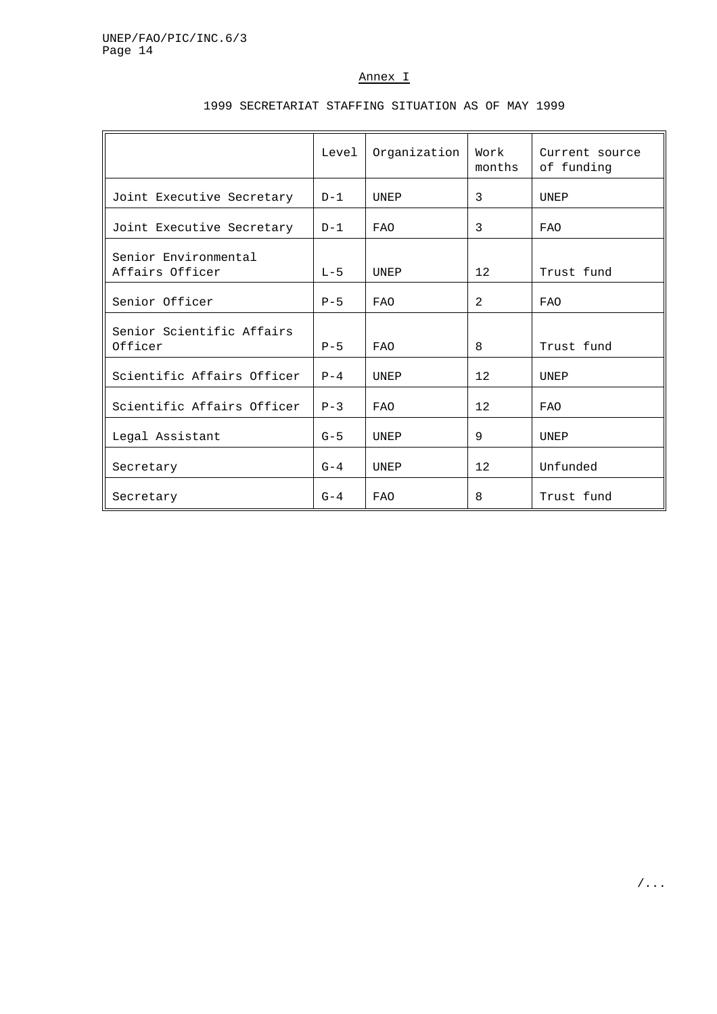# Annex I

|                                         | Level   | Organization | Work<br>months | Current source<br>of funding |
|-----------------------------------------|---------|--------------|----------------|------------------------------|
| Joint Executive Secretary               | $D-1$   | UNEP         | 3              | <b>UNEP</b>                  |
| Joint Executive Secretary               | $D-1$   | <b>FAO</b>   | 3              | <b>FAO</b>                   |
| Senior Environmental<br>Affairs Officer | $L - 5$ | <b>UNEP</b>  | 12             | Trust fund                   |
| Senior Officer                          | $P - 5$ | <b>FAO</b>   | 2              | <b>FAO</b>                   |
| Senior Scientific Affairs<br>Officer    | $P - 5$ | <b>FAO</b>   | 8              | Trust fund                   |
| Scientific Affairs Officer              | $P - 4$ | <b>UNEP</b>  | 12             | UNEP                         |
| Scientific Affairs Officer              | $P - 3$ | <b>FAO</b>   | 12             | <b>FAO</b>                   |
| Legal Assistant                         | $G - 5$ | UNEP         | 9              | UNEP                         |
| Secretary                               | $G-4$   | UNEP         | 12             | Unfunded                     |
| Secretary                               | $G-4$   | <b>FAO</b>   | 8              | Trust fund                   |

# 1999 SECRETARIAT STAFFING SITUATION AS OF MAY 1999